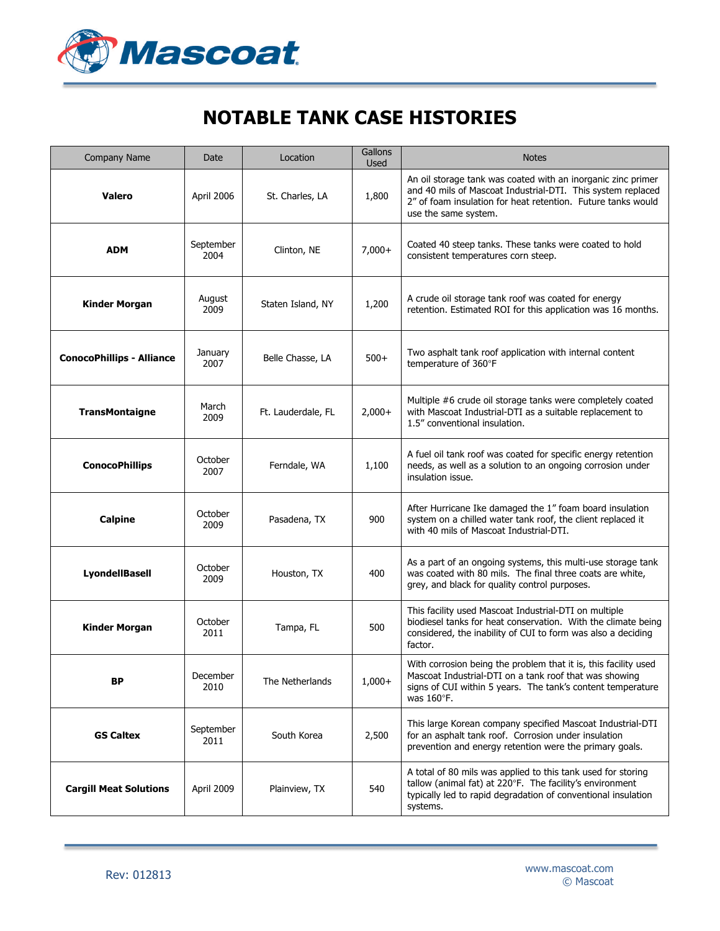

## **NOTABLE TANK CASE HISTORIES**

| Company Name                     | Date              | Location           | Gallons<br><b>Used</b> | <b>Notes</b>                                                                                                                                                                                                        |
|----------------------------------|-------------------|--------------------|------------------------|---------------------------------------------------------------------------------------------------------------------------------------------------------------------------------------------------------------------|
| <b>Valero</b>                    | April 2006        | St. Charles, LA    | 1,800                  | An oil storage tank was coated with an inorganic zinc primer<br>and 40 mils of Mascoat Industrial-DTI. This system replaced<br>2" of foam insulation for heat retention. Future tanks would<br>use the same system. |
| <b>ADM</b>                       | September<br>2004 | Clinton, NE        | $7,000+$               | Coated 40 steep tanks. These tanks were coated to hold<br>consistent temperatures corn steep.                                                                                                                       |
| <b>Kinder Morgan</b>             | August<br>2009    | Staten Island, NY  | 1,200                  | A crude oil storage tank roof was coated for energy<br>retention. Estimated ROI for this application was 16 months.                                                                                                 |
| <b>ConocoPhillips - Alliance</b> | January<br>2007   | Belle Chasse, LA   | $500+$                 | Two asphalt tank roof application with internal content<br>temperature of 360°F                                                                                                                                     |
| TransMontaigne                   | March<br>2009     | Ft. Lauderdale, FL | $2,000+$               | Multiple #6 crude oil storage tanks were completely coated<br>with Mascoat Industrial-DTI as a suitable replacement to<br>1.5" conventional insulation.                                                             |
| <b>ConocoPhillips</b>            | October<br>2007   | Ferndale, WA       | 1,100                  | A fuel oil tank roof was coated for specific energy retention<br>needs, as well as a solution to an ongoing corrosion under<br>insulation issue.                                                                    |
| <b>Calpine</b>                   | October<br>2009   | Pasadena, TX       | 900                    | After Hurricane Ike damaged the 1" foam board insulation<br>system on a chilled water tank roof, the client replaced it<br>with 40 mils of Mascoat Industrial-DTI.                                                  |
| <b>LyondellBasell</b>            | October<br>2009   | Houston, TX        | 400                    | As a part of an ongoing systems, this multi-use storage tank<br>was coated with 80 mils. The final three coats are white,<br>grey, and black for quality control purposes.                                          |
| <b>Kinder Morgan</b>             | October<br>2011   | Tampa, FL          | 500                    | This facility used Mascoat Industrial-DTI on multiple<br>biodiesel tanks for heat conservation. With the climate being<br>considered, the inability of CUI to form was also a deciding<br>factor.                   |
| ВP                               | December<br>2010  | The Netherlands    | $1,000+$               | With corrosion being the problem that it is, this facility used<br>Mascoat Industrial-DTI on a tank roof that was showing<br>signs of CUI within 5 years. The tank's content temperature<br>was $160^\circ$ F.      |
| <b>GS Caltex</b>                 | September<br>2011 | South Korea        | 2,500                  | This large Korean company specified Mascoat Industrial-DTI<br>for an asphalt tank roof. Corrosion under insulation<br>prevention and energy retention were the primary goals.                                       |
| <b>Cargill Meat Solutions</b>    | April 2009        | Plainview, TX      | 540                    | A total of 80 mils was applied to this tank used for storing<br>tallow (animal fat) at 220°F. The facility's environment<br>typically led to rapid degradation of conventional insulation<br>systems.               |